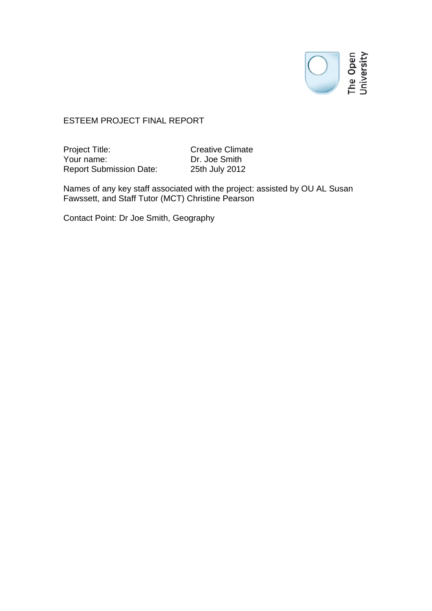# The Open<br>The Open<br>University

### ESTEEM PROJECT FINAL REPORT

Project Title: Creative Climate Your name: Dr. Joe Smith Report Submission Date: 25th July 2012

Names of any key staff associated with the project: assisted by OU AL Susan Fawssett, and Staff Tutor (MCT) Christine Pearson

Contact Point: Dr Joe Smith, Geography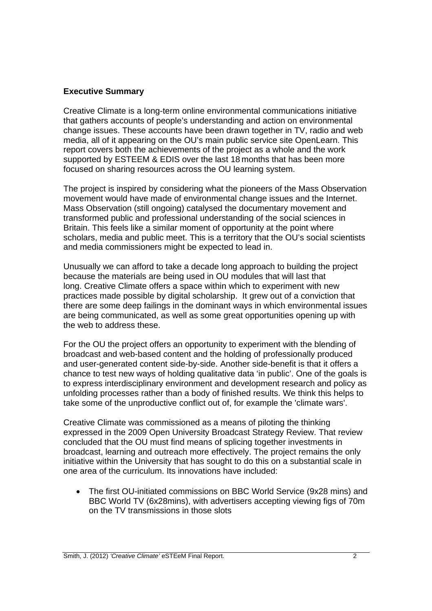# **Executive Summary**

Creative Climate is a long-term online environmental communications initiative that gathers accounts of people's understanding and action on environmental change issues. These accounts have been drawn together in TV, radio and web media, all of it appearing on the OU's main public service site OpenLearn. This report covers both the achievements of the project as a whole and the work supported by ESTEEM & EDIS over the last 18 months that has been more focused on sharing resources across the OU learning system.

The project is inspired by considering what the pioneers of the Mass Observation movement would have made of environmental change issues and the Internet. Mass Observation (still ongoing) catalysed the documentary movement and transformed public and professional understanding of the social sciences in Britain. This feels like a similar moment of opportunity at the point where scholars, media and public meet. This is a territory that the OU's social scientists and media commissioners might be expected to lead in.

Unusually we can afford to take a decade long approach to building the project because the materials are being used in OU modules that will last that long. Creative Climate offers a space within which to experiment with new practices made possible by digital scholarship. It grew out of a conviction that there are some deep failings in the dominant ways in which environmental issues are being communicated, as well as some great opportunities opening up with the web to address these.

For the OU the project offers an opportunity to experiment with the blending of broadcast and web-based content and the holding of professionally produced and user-generated content side-by-side. Another side-benefit is that it offers a chance to test new ways of holding qualitative data 'in public'. One of the goals is to express interdisciplinary environment and development research and policy as unfolding processes rather than a body of finished results. We think this helps to take some of the unproductive conflict out of, for example the 'climate wars'.

Creative Climate was commissioned as a means of piloting the thinking expressed in the 2009 Open University Broadcast Strategy Review. That review concluded that the OU must find means of splicing together investments in broadcast, learning and outreach more effectively. The project remains the only initiative within the University that has sought to do this on a substantial scale in one area of the curriculum. Its innovations have included:

• The first OU-initiated commissions on BBC World Service (9x28 mins) and BBC World TV (6x28mins), with advertisers accepting viewing figs of 70m on the TV transmissions in those slots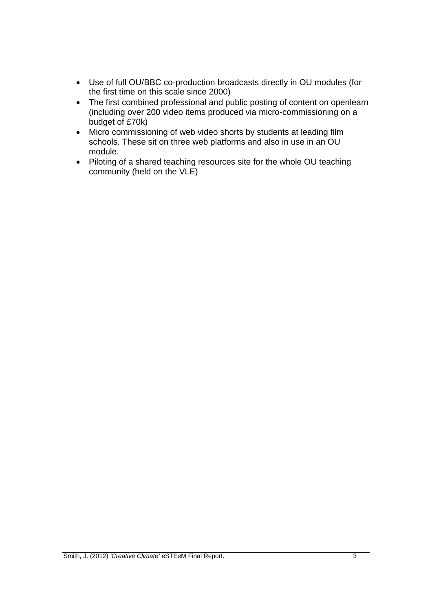- Use of full OU/BBC co-production broadcasts directly in OU modules (for the first time on this scale since 2000)
- The first combined professional and public posting of content on openlearn (including over 200 video items produced via micro-commissioning on a budget of £70k)
- Micro commissioning of web video shorts by students at leading film schools. These sit on three web platforms and also in use in an OU module.
- Piloting of a shared teaching resources site for the whole OU teaching community (held on the VLE)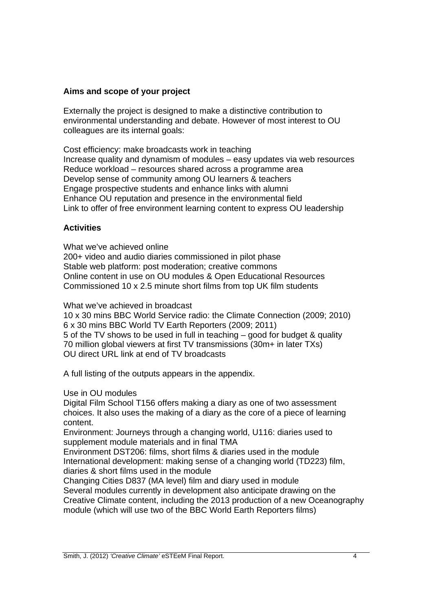## **Aims and scope of your project**

Externally the project is designed to make a distinctive contribution to environmental understanding and debate. However of most interest to OU colleagues are its internal goals:

Cost efficiency: make broadcasts work in teaching Increase quality and dynamism of modules – easy updates via web resources Reduce workload – resources shared across a programme area Develop sense of community among OU learners & teachers Engage prospective students and enhance links with alumni Enhance OU reputation and presence in the environmental field Link to offer of free environment learning content to express OU leadership

# **Activities**

What we've achieved online

200+ video and audio diaries commissioned in pilot phase Stable web platform: post moderation; creative commons Online content in use on OU modules & Open Educational Resources Commissioned 10 x 2.5 minute short films from top UK film students

What we've achieved in broadcast

10 x 30 mins BBC World Service radio: the Climate Connection (2009; 2010) 6 x 30 mins BBC World TV Earth Reporters (2009; 2011) 5 of the TV shows to be used in full in teaching – good for budget & quality 70 million global viewers at first TV transmissions (30m+ in later TXs) OU direct URL link at end of TV broadcasts

A full listing of the outputs appears in the appendix.

Use in OU modules

Digital Film School T156 offers making a diary as one of two assessment choices. It also uses the making of a diary as the core of a piece of learning content.

Environment: Journeys through a changing world, U116: diaries used to supplement module materials and in final TMA

Environment DST206: films, short films & diaries used in the module International development: making sense of a changing world (TD223) film, diaries & short films used in the module

Changing Cities D837 (MA level) film and diary used in module Several modules currently in development also anticipate drawing on the Creative Climate content, including the 2013 production of a new Oceanography module (which will use two of the BBC World Earth Reporters films)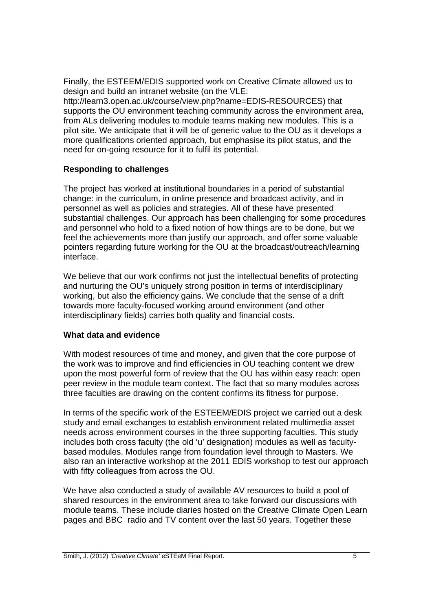Finally, the ESTEEM/EDIS supported work on Creative Climate allowed us to design and build an intranet website (on the VLE: http://learn3.open.ac.uk/course/view.php?name=EDIS-RESOURCES) that supports the OU environment teaching community across the environment area, from ALs delivering modules to module teams making new modules. This is a pilot site. We anticipate that it will be of generic value to the OU as it develops a more qualifications oriented approach, but emphasise its pilot status, and the need for on-going resource for it to fulfil its potential.

# **Responding to challenges**

The project has worked at institutional boundaries in a period of substantial change: in the curriculum, in online presence and broadcast activity, and in personnel as well as policies and strategies. All of these have presented substantial challenges. Our approach has been challenging for some procedures and personnel who hold to a fixed notion of how things are to be done, but we feel the achievements more than justify our approach, and offer some valuable pointers regarding future working for the OU at the broadcast/outreach/learning interface.

We believe that our work confirms not just the intellectual benefits of protecting and nurturing the OU's uniquely strong position in terms of interdisciplinary working, but also the efficiency gains. We conclude that the sense of a drift towards more faculty-focused working around environment (and other interdisciplinary fields) carries both quality and financial costs.

## **What data and evidence**

With modest resources of time and money, and given that the core purpose of the work was to improve and find efficiencies in OU teaching content we drew upon the most powerful form of review that the OU has within easy reach: open peer review in the module team context. The fact that so many modules across three faculties are drawing on the content confirms its fitness for purpose.

In terms of the specific work of the ESTEEM/EDIS project we carried out a desk study and email exchanges to establish environment related multimedia asset needs across environment courses in the three supporting faculties. This study includes both cross faculty (the old 'u' designation) modules as well as facultybased modules. Modules range from foundation level through to Masters. We also ran an interactive workshop at the 2011 EDIS workshop to test our approach with fifty colleagues from across the OU.

We have also conducted a study of available AV resources to build a pool of shared resources in the environment area to take forward our discussions with module teams. These include diaries hosted on the Creative Climate Open Learn pages and BBC radio and TV content over the last 50 years. Together these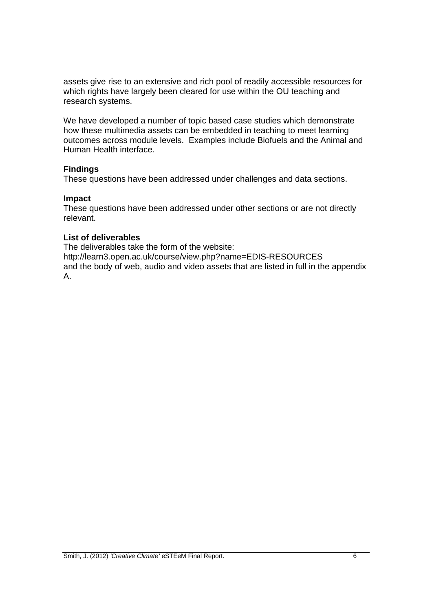assets give rise to an extensive and rich pool of readily accessible resources for which rights have largely been cleared for use within the OU teaching and research systems.

We have developed a number of topic based case studies which demonstrate how these multimedia assets can be embedded in teaching to meet learning outcomes across module levels. Examples include Biofuels and the Animal and Human Health interface.

## **Findings**

These questions have been addressed under challenges and data sections.

#### **Impact**

These questions have been addressed under other sections or are not directly relevant.

# **List of deliverables**

The deliverables take the form of the website: http://learn3.open.ac.uk/course/view.php?name=EDIS-RESOURCES and the body of web, audio and video assets that are listed in full in the appendix A.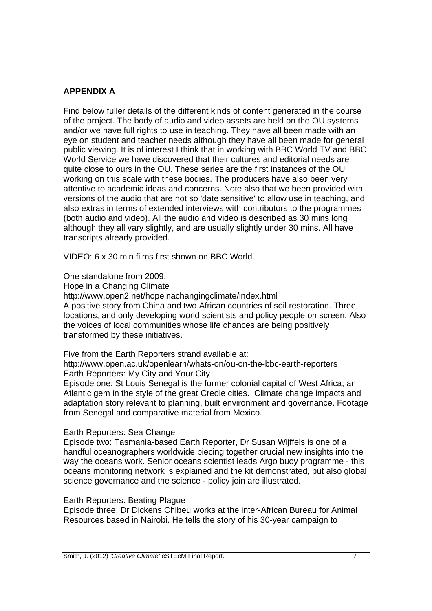# **APPENDIX A**

Find below fuller details of the different kinds of content generated in the course of the project. The body of audio and video assets are held on the OU systems and/or we have full rights to use in teaching. They have all been made with an eye on student and teacher needs although they have all been made for general public viewing. It is of interest I think that in working with BBC World TV and BBC World Service we have discovered that their cultures and editorial needs are quite close to ours in the OU. These series are the first instances of the OU working on this scale with these bodies. The producers have also been very attentive to academic ideas and concerns. Note also that we been provided with versions of the audio that are not so 'date sensitive' to allow use in teaching, and also extras in terms of extended interviews with contributors to the programmes (both audio and video). All the audio and video is described as 30 mins long although they all vary slightly, and are usually slightly under 30 mins. All have transcripts already provided.

VIDEO: 6 x 30 min films first shown on BBC World.

One standalone from 2009:

Hope in a Changing Climate

http://www.open2.net/hopeinachangingclimate/index.html A positive story from China and two African countries of soil restoration. Three locations, and only developing world scientists and policy people on screen. Also the voices of local communities whose life chances are being positively transformed by these initiatives.

Five from the Earth Reporters strand available at:

http://www.open.ac.uk/openlearn/whats-on/ou-on-the-bbc-earth-reporters Earth Reporters: My City and Your City

Episode one: St Louis Senegal is the former colonial capital of West Africa; an Atlantic gem in the style of the great Creole cities. Climate change impacts and adaptation story relevant to planning, built environment and governance. Footage from Senegal and comparative material from Mexico.

#### Earth Reporters: Sea Change

Episode two: Tasmania-based Earth Reporter, Dr Susan Wijffels is one of a handful oceanographers worldwide piecing together crucial new insights into the way the oceans work. Senior oceans scientist leads Argo buoy programme - this oceans monitoring network is explained and the kit demonstrated, but also global science governance and the science - policy join are illustrated.

## Earth Reporters: Beating Plague

Episode three: Dr Dickens Chibeu works at the inter-African Bureau for Animal Resources based in Nairobi. He tells the story of his 30-year campaign to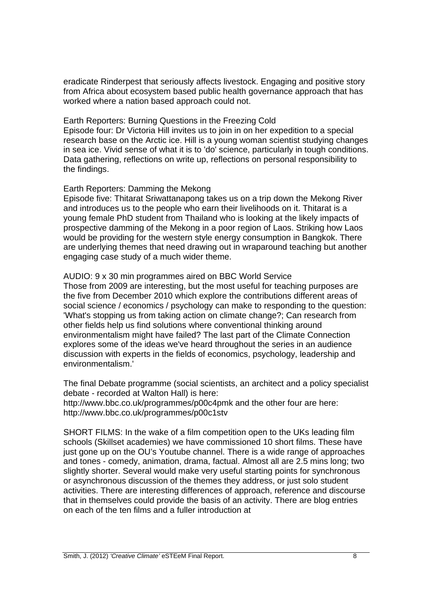eradicate Rinderpest that seriously affects livestock. Engaging and positive story from Africa about ecosystem based public health governance approach that has worked where a nation based approach could not.

Earth Reporters: Burning Questions in the Freezing Cold

Episode four: Dr Victoria Hill invites us to join in on her expedition to a special research base on the Arctic ice. Hill is a young woman scientist studying changes in sea ice. Vivid sense of what it is to 'do' science, particularly in tough conditions. Data gathering, reflections on write up, reflections on personal responsibility to the findings.

## Earth Reporters: Damming the Mekong

Episode five: Thitarat Sriwattanapong takes us on a trip down the Mekong River and introduces us to the people who earn their livelihoods on it. Thitarat is a young female PhD student from Thailand who is looking at the likely impacts of prospective damming of the Mekong in a poor region of Laos. Striking how Laos would be providing for the western style energy consumption in Bangkok. There are underlying themes that need drawing out in wraparound teaching but another engaging case study of a much wider theme.

# AUDIO: 9 x 30 min programmes aired on BBC World Service

Those from 2009 are interesting, but the most useful for teaching purposes are the five from December 2010 which explore the contributions different areas of social science / economics / psychology can make to responding to the question: 'What's stopping us from taking action on climate change?; Can research from other fields help us find solutions where conventional thinking around environmentalism might have failed? The last part of the Climate Connection explores some of the ideas we've heard throughout the series in an audience discussion with experts in the fields of economics, psychology, leadership and environmentalism.'

The final Debate programme (social scientists, an architect and a policy specialist debate - recorded at Walton Hall) is here:

http://www.bbc.co.uk/programmes/p00c4pmk and the other four are here: http://www.bbc.co.uk/programmes/p00c1stv

SHORT FILMS: In the wake of a film competition open to the UKs leading film schools (Skillset academies) we have commissioned 10 short films. These have just gone up on the OU's Youtube channel. There is a wide range of approaches and tones - comedy, animation, drama, factual. Almost all are 2.5 mins long; two slightly shorter. Several would make very useful starting points for synchronous or asynchronous discussion of the themes they address, or just solo student activities. There are interesting differences of approach, reference and discourse that in themselves could provide the basis of an activity. There are blog entries on each of the ten films and a fuller introduction at